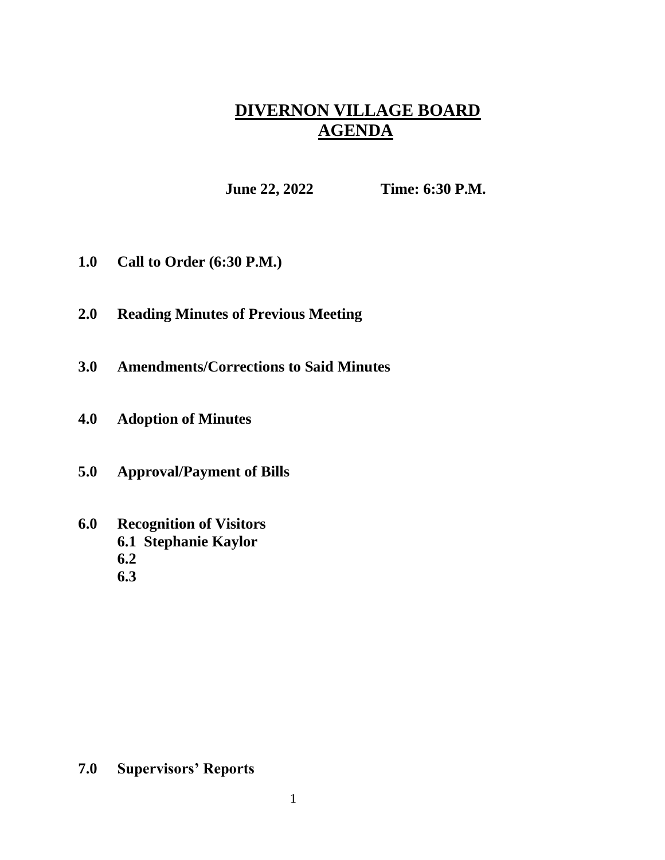## **DIVERNON VILLAGE BOARD AGENDA**

**June 22, 2022 Time: 6:30 P.M.**

- **1.0 Call to Order (6:30 P.M.)**
- **2.0 Reading Minutes of Previous Meeting**
- **3.0 Amendments/Corrections to Said Minutes**
- **4.0 Adoption of Minutes**
- **5.0 Approval/Payment of Bills**
- **6.0 Recognition of Visitors 6.1 Stephanie Kaylor 6.2**
	- **6.3**

## **7.0 Supervisors' Reports**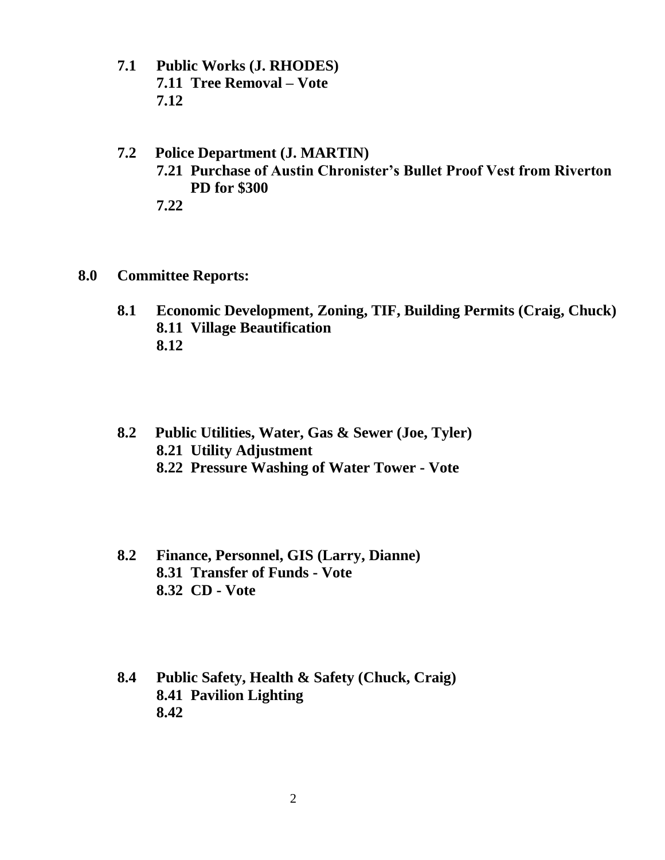**7.1 Public Works (J. RHODES) 7.11 Tree Removal – Vote 7.12**

## **7.2 Police Department (J. MARTIN) 7.21 Purchase of Austin Chronister's Bullet Proof Vest from Riverton PD for \$300 7.22**

- **8.0 Committee Reports:**
	- **8.1 Economic Development, Zoning, TIF, Building Permits (Craig, Chuck) 8.11 Village Beautification 8.12**
	- **8.2 Public Utilities, Water, Gas & Sewer (Joe, Tyler) 8.21 Utility Adjustment 8.22 Pressure Washing of Water Tower - Vote**
	- **8.2 Finance, Personnel, GIS (Larry, Dianne) 8.31 Transfer of Funds - Vote 8.32 CD - Vote**
	- **8.4 Public Safety, Health & Safety (Chuck, Craig) 8.41 Pavilion Lighting 8.42**